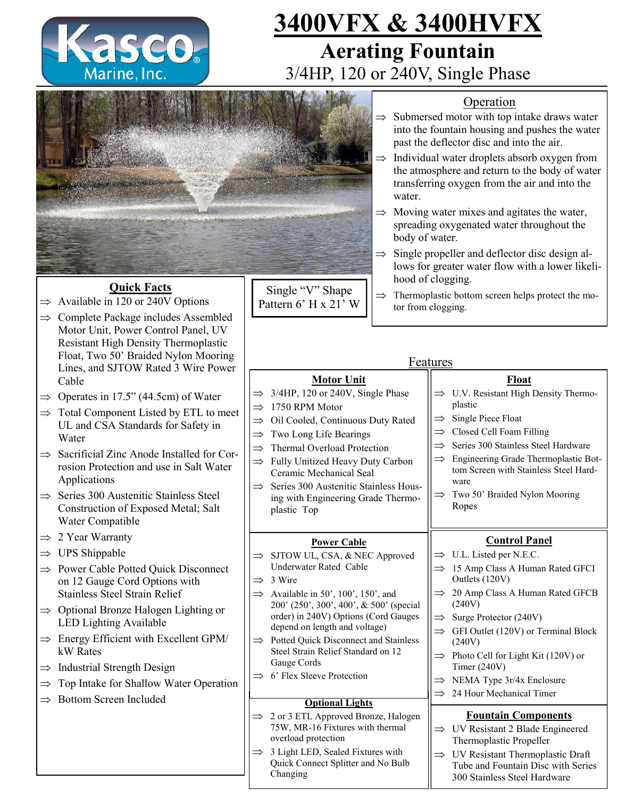

# **3400VFX & 3400HVFX Aerating Fountain**  3/4HP, 120 or 240V, Single Phase



## **Quick Facts**

- $\Rightarrow$  Available in 120 or 240V Options
- $\Rightarrow$  Complete Package includes Assembled Motor Unit, Power Control Panel, UV Resistant High Density Thermoplastic Float, Two 50' Braided Nylon Mooring Lines, and SJTOW Rated 3 Wire Power Cable
- $\Rightarrow$  Operates in 17.5" (44.5cm) of Water
- $\Rightarrow$  Total Component Listed by ETL to meet UL and CSA Standards for Safety in Water
- $\Rightarrow$  Sacrificial Zinc Anode Installed for Corrosion Protection and use in Salt Water Applications
- $\Rightarrow$  Series 300 Austenitic Stainless Steel Construction of Exposed Metal; Salt Water Compatible
- $\Rightarrow$  2 Year Warranty
- $\Rightarrow$  UPS Shippable
- $\Rightarrow$  Power Cable Potted Quick Disconnect on 12 Gauge Cord Options with Stainless Steel Strain Relief
- $\Rightarrow$  Optional Bronze Halogen Lighting or LED Lighting Available
- $\Rightarrow$  Energy Efficient with Excellent GPM/ kW Rates
- $\Rightarrow$  Industrial Strength Design
- Top Intake for Shallow Water Operation
- $\Rightarrow$  Bottom Screen Included

## Operation

- $\Rightarrow$  Submersed motor with top intake draws water into the fountain housing and pushes the water past the deflector disc and into the air.
- $\Rightarrow$  Individual water droplets absorb oxygen from the atmosphere and return to the body of water transferring oxygen from the air and into the water.
- $\Rightarrow$  Moving water mixes and agitates the water, spreading oxygenated water throughout the body of water.
- $\Rightarrow$  Single propeller and deflector disc design allows for greater water flow with a lower likelihood of clogging.
- $\Rightarrow$  Thermoplastic bottom screen helps protect the motor from clogging.

## **Features**

## **Motor Unit**

- $\Rightarrow$  3/4HP, 120 or 240V, Single Phase
- $\Rightarrow$  1750 RPM Motor
- $\implies$  Oil Cooled, Continuous Duty Rated
- $\Rightarrow$  Two Long Life Bearings
- $\implies$  Thermal Overload Protection
- $\Rightarrow$  Fully Unitized Heavy Duty Carbon Ceramic Mechanical Seal
- $\Rightarrow$  Series 300 Austenitic Stainless Housing with Engineering Grade Thermoplastic Top

### **Power Cable**

- $\Rightarrow$  SJTOW UL, CSA, & NEC Approved Underwater Rated Cable
- $\Rightarrow$  3 Wire
	- $\implies$  Available in 50', 100', 150', and 200' (250', 300', 400', & 500' (special order) in 240V) Options (Cord Gauges depend on length and voltage)
	- $\implies$  Potted Quick Disconnect and Stainless Steel Strain Relief Standard on 12 Gauge Cords
	- $\implies$  6' Flex Sleeve Protection

### **Optional Lights**

- $\implies$  2 or 3 ETL Approved Bronze, Halogen 75W, MR-16 Fixtures with thermal overload protection
- $\Rightarrow$  3 Light LED, Sealed Fixtures with Quick Connect Splitter and No Bulb Changing

#### plastic  $\implies$  Single Piece Float  $\Rightarrow$  Closed Cell Foam Filling  $\implies$  Series 300 Stainless Steel Hardware  $\implies$  Engineering Grade Thermoplastic Bottom Screen with Stainless Steel Hardware

**Float**  $\implies$  U.V. Resistant High Density Thermo-

 $\implies$  Two 50' Braided Nylon Mooring Ropes

## **Control Panel**

- $\Rightarrow$  U.L. Listed per N.E.C.
- $\implies$  15 Amp Class A Human Rated GFCI Outlets (120V)
- $\implies$  20 Amp Class A Human Rated GFCB (240V)
- $\implies$  Surge Protector (240V)
- $\implies$  GFI Outlet (120V) or Terminal Block (240V)  $\Rightarrow$  Photo Cell for Light Kit (120V) or
- Timer (240V)
- $\implies$  NEMA Type 3r/4x Enclosure
- $\implies$  24 Hour Mechanical Timer

### **Fountain Components**

- $\Rightarrow$  UV Resistant 2 Blade Engineered Thermoplastic Propeller
- UV Resistant Thermoplastic Draft Tube and Fountain Disc with Series 300 Stainless Steel Hardware

Single "V" Shape Pattern 6' H x 21' W